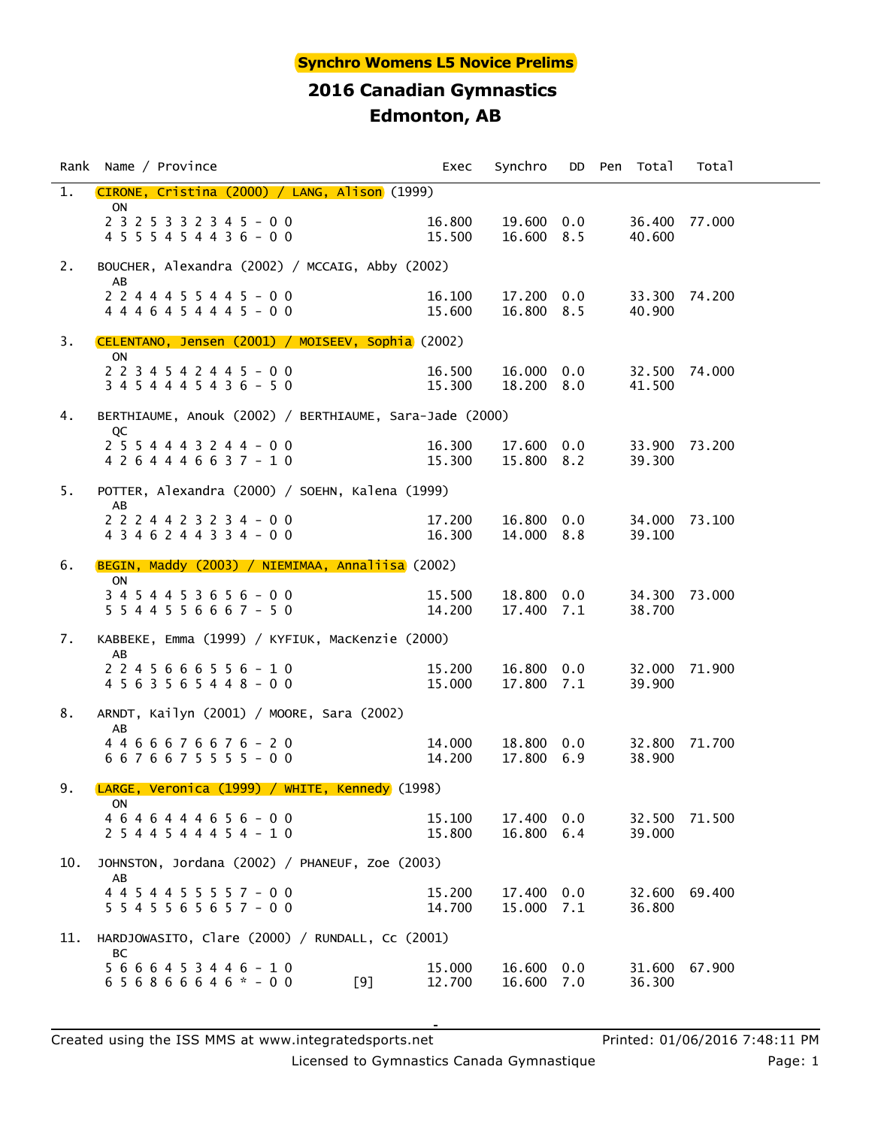|     | Rank Name / Province                                                  | Exec             | Synchro                  |     | DD Pen Total            | Total  |  |
|-----|-----------------------------------------------------------------------|------------------|--------------------------|-----|-------------------------|--------|--|
| 1.  | CIRONE, Cristina (2000) / LANG, Alison (1999)                         |                  |                          |     |                         |        |  |
|     | <b>ON</b><br>$2$ 3 2 5 3 3 2 3 4 5 - 0 0<br>4 5 5 5 4 5 4 4 3 6 - 0 0 | 16.800<br>15.500 | 19.600 0.0<br>16.600 8.5 |     | 36.400 77.000<br>40.600 |        |  |
| 2.  | BOUCHER, Alexandra (2002) / MCCAIG, Abby (2002)                       |                  |                          |     |                         |        |  |
|     | AB<br>$2 2 4 4 4 5 5 4 4 5 - 0 0$<br>4 4 4 6 4 5 4 4 4 5 - 0 0        | 16.100<br>15.600 | 17.200 0.0<br>16.800 8.5 |     | 33.300 74.200<br>40.900 |        |  |
| 3.  | CELENTANO, Jensen (2001) / MOISEEV, Sophia (2002)                     |                  |                          |     |                         |        |  |
|     | <b>ON</b><br>2 2 3 4 5 4 2 4 4 5 - 0 0<br>$3 4 5 4 4 4 5 4 3 6 - 5 0$ | 16.500<br>15.300 | 16.000 0.0<br>18.200 8.0 |     | 32.500 74.000<br>41.500 |        |  |
| 4.  | BERTHIAUME, Anouk (2002) / BERTHIAUME, Sara-Jade (2000)               |                  |                          |     |                         |        |  |
|     | QC<br>$2 5 5 4 4 4 3 2 4 4 - 0 0$<br>4 2 6 4 4 4 6 6 3 7 - 1 0        | 16.300<br>15.300 | 17.600 0.0<br>15.800 8.2 |     | 33.900 73.200<br>39.300 |        |  |
| 5.  | POTTER, Alexandra (2000) / SOEHN, Kalena (1999)                       |                  |                          |     |                         |        |  |
|     | AB<br>2 2 2 4 4 2 3 2 3 4 - 0 0<br>$4$ 3 4 6 2 4 4 3 3 4 - 0 0        | 17.200<br>16.300 | 16.800 0.0<br>14.000 8.8 |     | 34.000 73.100<br>39.100 |        |  |
| 6.  | BEGIN, Maddy (2003) / NIEMIMAA, Annaliisa (2002)                      |                  |                          |     |                         |        |  |
|     | <b>ON</b><br>3 4 5 4 4 5 3 6 5 6 - 0 0<br>$5544556667 - 50$           | 15.500<br>14.200 | 18.800 0.0<br>17.400 7.1 |     | 34.300 73.000<br>38.700 |        |  |
| 7.  | KABBEKE, Emma (1999) / KYFIUK, MacKenzie (2000)                       |                  |                          |     |                         |        |  |
|     | AB<br>$2245666556 - 10$<br>4 5 6 3 5 6 5 4 4 8 - 0 0                  | 15.200<br>15.000 | 16.800 0.0<br>17.800 7.1 |     | 32.000 71.900<br>39.900 |        |  |
| 8.  | ARNDT, Kailyn (2001) / MOORE, Sara (2002)                             |                  |                          |     |                         |        |  |
|     | AB<br>4 4 6 6 6 7 6 6 7 6 - 2 0<br>6 6 7 6 6 7 5 5 5 5 - 0 0          | 14.000<br>14.200 | 18.800 0.0<br>17.800 6.9 |     | 32.800 71.700<br>38.900 |        |  |
| 9.  | LARGE, Veronica (1999) / WHITE, Kennedy (1998)                        |                  |                          |     |                         |        |  |
|     | ON<br>4 6 4 6 4 4 4 6 5 6 - 0 0<br>2 5 4 4 5 4 4 4 5 4 - 1 0          | 15,100<br>15.800 | 17.400 0.0<br>16.800 6.4 |     | 32.500<br>39,000        | 71.500 |  |
| 10. | JOHNSTON, Jordana (2002) / PHANEUF, Zoe (2003)                        |                  |                          |     |                         |        |  |
|     | AB<br>4 4 5 4 4 5 5 5 5 7 - 0 0<br>$5545565657 - 00$                  | 15.200<br>14.700 | 17.400 0.0<br>15.000 7.1 |     | 32.600 69.400<br>36.800 |        |  |
| 11. | HARDJOWASITO, Clare (2000) / RUNDALL, Cc (2001)                       |                  |                          |     |                         |        |  |
|     | ВC<br>$5666453446 - 10$<br>$656866646* - 00$<br>[9]                   | 15,000<br>12.700 | 16.600 0.0<br>16.600     | 7.0 | 31.600 67.900<br>36.300 |        |  |

Licensed to Gymnastics Canada Gymnastique **Page: 1** Page: 1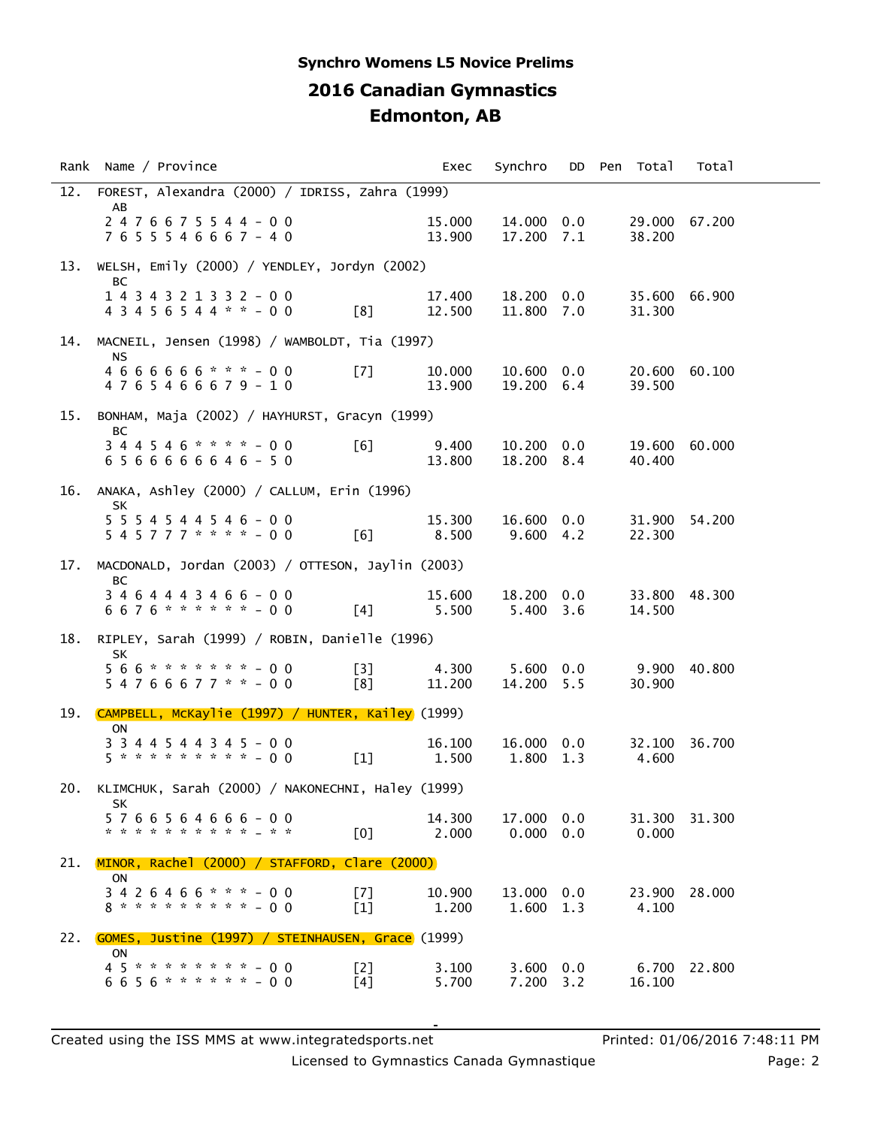## **2016 Canadian Gymnastics Edmonton, AB Synchro Womens L5 Novice Prelims**

|     | Rank Name / Province                                                                       | Exec             | Synchro                          |  | DD Pen Total     | Total         |
|-----|--------------------------------------------------------------------------------------------|------------------|----------------------------------|--|------------------|---------------|
| 12. | FOREST, Alexandra (2000) / IDRISS, Zahra (1999)                                            |                  |                                  |  |                  |               |
|     | AB<br>$2476675544 - 00$<br>7655546667-40                                                   | 15.000<br>13.900 | 14.000 0.0<br>17.200 7.1         |  | 38,200           | 29.000 67.200 |
| 13. | WELSH, Emily (2000) / YENDLEY, Jordyn (2002)                                               |                  |                                  |  |                  |               |
|     | BC<br>1 4 3 4 3 2 1 3 3 2 - 0 0<br>$43456544$ * * - 00<br>[8]                              | 17.400<br>12.500 | 18.200 0.0<br>11.800 7.0         |  | 31.300           | 35.600 66.900 |
| 14. | MACNEIL, Jensen (1998) / WAMBOLDT, Tia (1997)                                              |                  |                                  |  |                  |               |
|     | NS.<br>$4666666$ * * * - 00<br>[7]<br>4765466679-10                                        | 10.000<br>13.900 | $10.600 \quad 0.0$<br>19.200 6.4 |  | 39.500           | 20.600 60.100 |
| 15. | BONHAM, Maja (2002) / HAYHURST, Gracyn (1999)                                              |                  |                                  |  |                  |               |
|     | BС<br>$344546$ * * * * - 00<br>[6]<br>6566666646-50                                        | 9.400<br>13.800  | $10.200 \quad 0.0$<br>18.200 8.4 |  | 40.400           | 19.600 60.000 |
| 16. | ANAKA, Ashley (2000) / CALLUM, Erin (1996)                                                 |                  |                                  |  |                  |               |
|     | <b>SK</b><br>5 5 5 4 5 4 4 5 4 6 - 0 0<br>5 4 5 7 7 7 * * * * - 0 0<br>[6]                 | 15,300<br>8.500  | 16.600 0.0<br>9.600 4.2          |  | 31.900<br>22.300 | 54.200        |
| 17. | MACDONALD, Jordan (2003) / OTTESON, Jaylin (2003)                                          |                  |                                  |  |                  |               |
|     | BC<br>3 4 6 4 4 4 3 4 6 6 - 0 0<br>6676 * * * * * * - 00<br>$[4]$                          | 15.600<br>5.500  | 18.200 0.0<br>$5.400 \quad 3.6$  |  | 14.500           | 33.800 48.300 |
| 18. | RIPLEY, Sarah (1999) / ROBIN, Danielle (1996)                                              |                  |                                  |  |                  |               |
|     | <b>SK</b><br>566 * * * * * * * - 00<br>[3]<br>$54766677$ * * - 00<br>[8]                   | 4.300<br>11.200  | $5.600 \quad 0.0$<br>14.200 5.5  |  | 9.900<br>30.900  | 40.800        |
| 19. | CAMPBELL, MCKaylie (1997) / HUNTER, Kailey (1999)                                          |                  |                                  |  |                  |               |
|     | ON<br>3 3 4 4 5 4 4 3 4 5 - 0 0<br>5 * * * * * * * * * - 0 0<br>$[1]$                      | 16.100<br>1.500  | 16.000 0.0<br>1.800 1.3          |  | 4.600            | 32.100 36.700 |
| 20. | KLIMCHUK, Sarah (2000) / NAKONECHNI, Haley (1999)                                          |                  |                                  |  |                  |               |
|     | SK<br>5766564666-00<br>* * * * * * * * * * * * *<br>[0]                                    | 14.300<br>2,000  | 17,000 0.0<br>$0.000 \quad 0.0$  |  | 31.300<br>0.000  | 31.300        |
| 21. | MINOR, Rachel (2000) / STAFFORD, Clare (2000)                                              |                  |                                  |  |                  |               |
|     | ON<br>$3426466$ * * * - 00<br>[7]<br><b>8 * * * * * * * * * - 0 0</b><br>$\lceil 1 \rceil$ | 10.900<br>1.200  | 13,000 0.0<br>1.600 1.3          |  | 4.100            | 23.900 28.000 |
| 22. | <b>GOMES, Justine (1997) / STEINHAUSEN, Grace</b> (1999)                                   |                  |                                  |  |                  |               |
|     | ON<br>45********-00<br>[2]<br>6656 * * * * * * - 00<br>[4]                                 | 3.100<br>5.700   | $3.600 \quad 0.0$<br>7.200 3.2   |  | 6.700<br>16.100  | 22.800        |

Licensed to Gymnastics Canada Gymnastique **Page: 2** Page: 2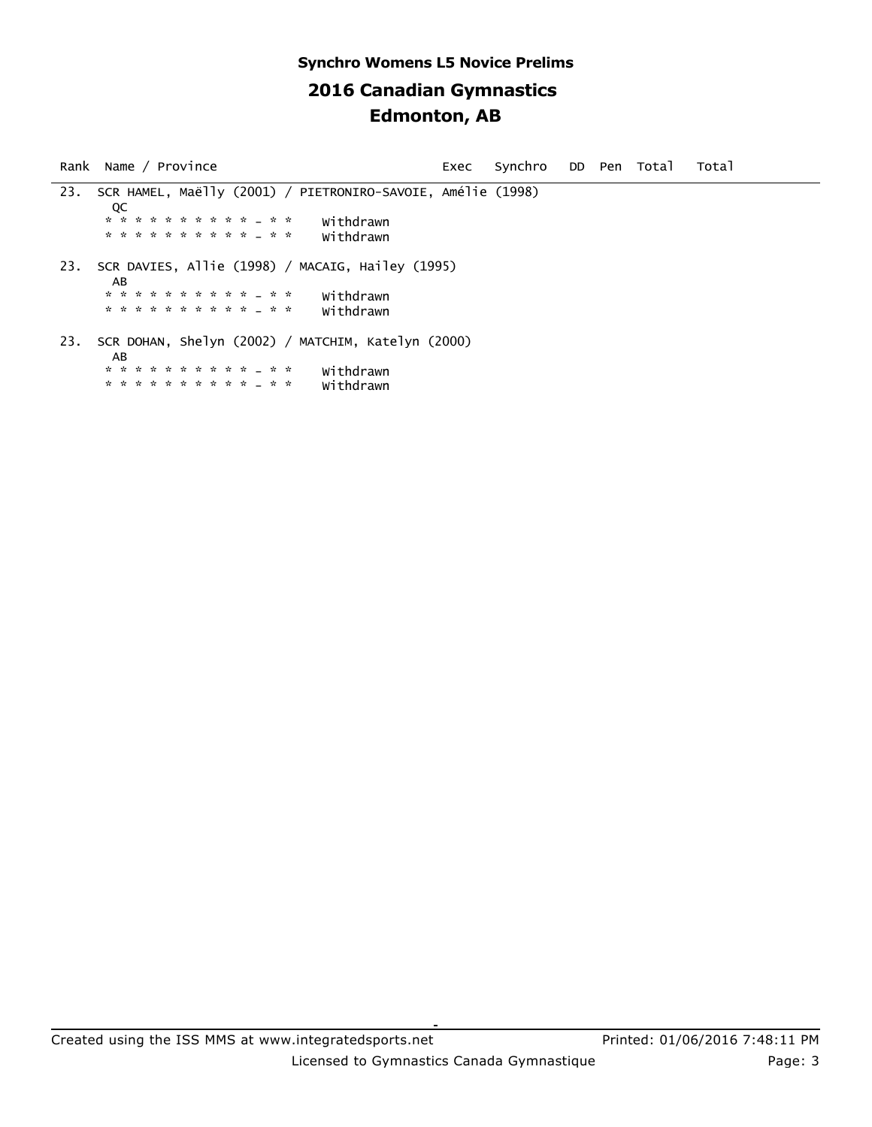## **2016 Canadian Gymnastics Edmonton, AB Synchro Womens L5 Novice Prelims**

Rank Name / Province exects of Exec Synchro DD Pen Total Total 23. SCR HAMEL, Maëlly (2001) / PIETRONIRO-SAVOIE, Amélie (1998) **DECISION**  \* \* \* \* \* \* \* \* \* \* - \* \* Withdrawn \* \* \* \* \* \* \* \* \* \* - \* \* Withdrawn 23. SCR DAVIES, Allie (1998) / MACAIG, Hailey (1995) AB \* \* \* \* \* \* \* \* \* \* - \* \* Withdrawn \* \* \* \* \* \* \* \* \* \* - \* \* Withdrawn 23. SCR DOHAN, Shelyn (2002) / MATCHIM, Katelyn (2000) AB \* \* \* \* \* \* \* \* \* \* \* \* \* \* withdrawn<br>\* \* \* \* \* \* \* \* \* \* \* \* \* \* withdrawn \* \* \* \* \* \* \* \* \* \* - \* \* Withdrawn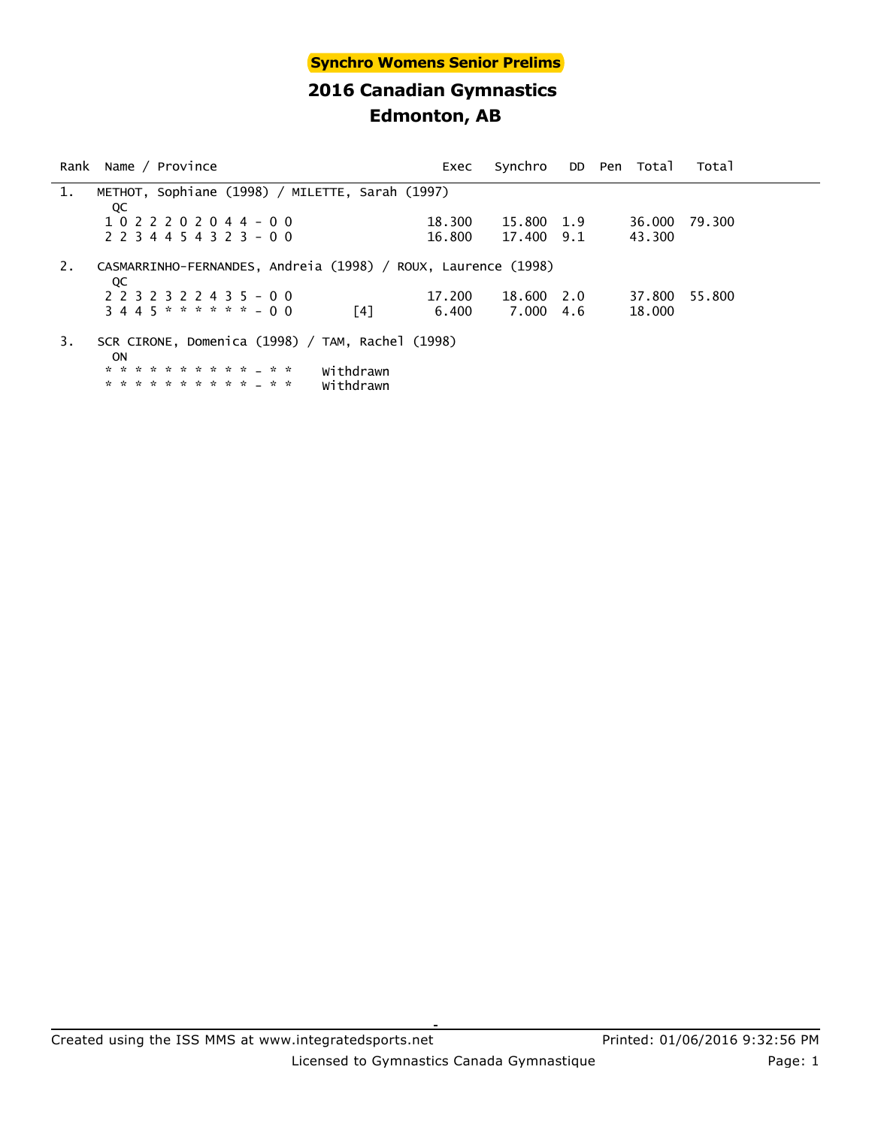#### **Synchro Womens Senior Prelims**

## **2016 Canadian Gymnastics Edmonton, AB**

|    | Rank Name / Province                                                | Exec   | Synchro DD Pen Total |     |        | Total  |  |
|----|---------------------------------------------------------------------|--------|----------------------|-----|--------|--------|--|
| 1. | METHOT, Sophiane (1998) / MILETTE, Sarah (1997)                     |        |                      |     |        |        |  |
|    | QC                                                                  |        |                      |     |        |        |  |
|    | 1022202044-00                                                       | 18.300 | 15.800               | 1.9 | 36.000 | 79.300 |  |
|    | $2$ 2 3 4 4 5 4 3 2 3 - 0 0                                         | 16.800 | 17.400               | 9.1 | 43.300 |        |  |
| 2. | CASMARRINHO-FERNANDES, Andreia (1998) / ROUX, Laurence (1998)<br>QC |        |                      |     |        |        |  |
|    | 2 2 3 2 3 2 2 4 3 5 - 0 0                                           | 17.200 | 18.600               | 2.0 | 37.800 | 55.800 |  |
|    | $3445******-00$<br>[4]                                              | 6.400  | 7.000                | 4.6 | 18.000 |        |  |
| 3. | SCR CIRONE, Domenica (1998) / TAM, Rachel (1998)<br><b>ON</b>       |        |                      |     |        |        |  |

 \* \* \* \* \* \* \* \* \* \* - \* \* Withdrawn \* \* \* \* \* \* \* \* \* \* - \* \* Withdrawn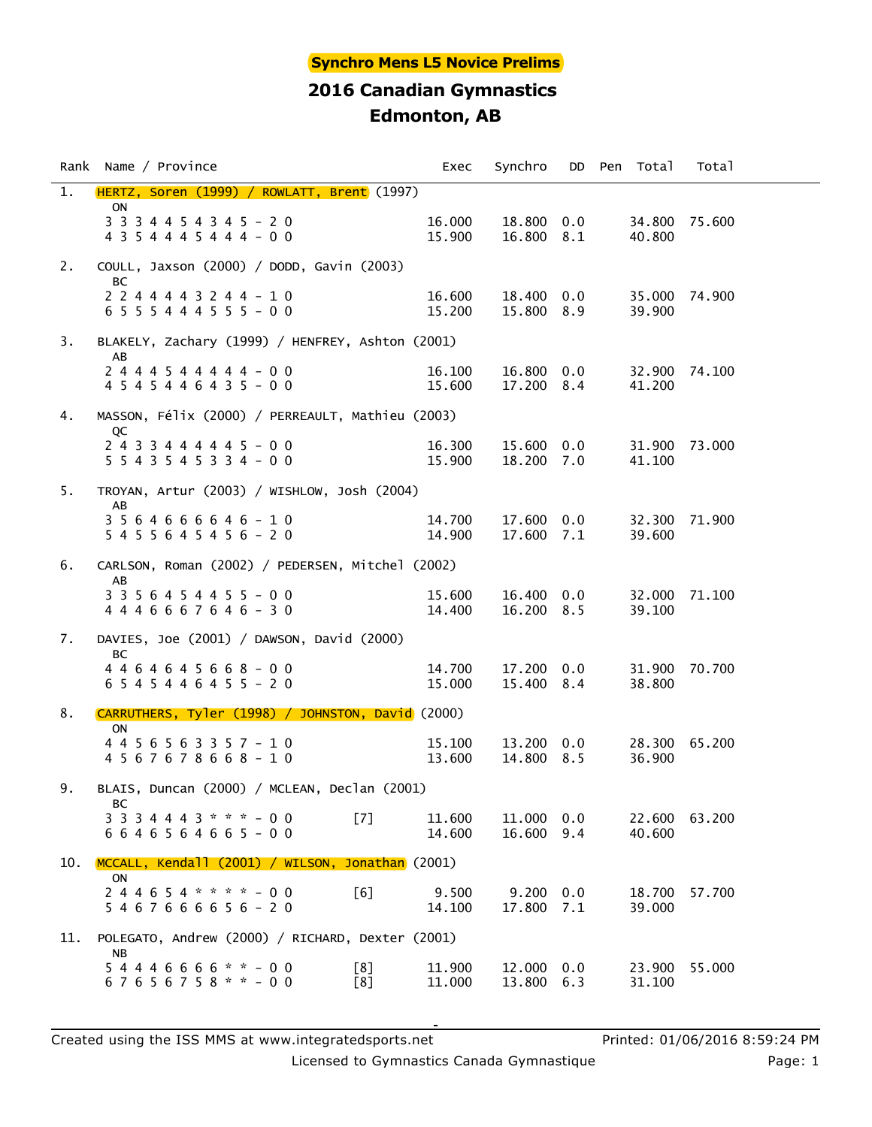#### **Synchro Mens L5 Novice Prelims**

## **2016 Canadian Gymnastics Edmonton, AB**

|     | Rank Name / Province                                                     | Exec             | Synchro                         |  | DD Pen Total            | Total  |  |
|-----|--------------------------------------------------------------------------|------------------|---------------------------------|--|-------------------------|--------|--|
| 1.  | HERTZ, Soren (1999) / ROWLATT, Brent (1997)<br>ON                        |                  |                                 |  |                         |        |  |
|     | $3$ 3 3 4 4 5 4 3 4 5 - 2 0<br>4 3 5 4 4 4 5 4 4 4 - 0 0                 | 16.000<br>15.900 | 18.800 0.0<br>16.800 8.1        |  | 34.800 75.600<br>40.800 |        |  |
| 2.  | COULL, Jaxson (2000) / DODD, Gavin (2003)                                |                  |                                 |  |                         |        |  |
|     | BC<br>2 2 4 4 4 4 3 2 4 4 - 1 0<br>6 5 5 5 4 4 4 5 5 5 - 0 0             | 16.600<br>15.200 | 18.400 0.0<br>15.800 8.9        |  | 35.000 74.900<br>39.900 |        |  |
| 3.  | BLAKELY, Zachary (1999) / HENFREY, Ashton (2001)                         |                  |                                 |  |                         |        |  |
|     | AB<br>2 4 4 4 5 4 4 4 4 4 - 0 0<br>4 5 4 5 4 4 6 4 3 5 - 0 0             | 16.100<br>15.600 | 16.800 0.0<br>17.200 8.4        |  | 32.900 74.100<br>41.200 |        |  |
| 4.  | MASSON, Félix (2000) / PERREAULT, Mathieu (2003)                         |                  |                                 |  |                         |        |  |
|     | QC<br>$2433444445 - 00$<br>5 5 4 3 5 4 5 3 3 4 - 0 0                     | 16.300<br>15.900 | 15.600 0.0<br>18.200 7.0        |  | 31.900 73.000<br>41.100 |        |  |
| 5.  | TROYAN, Artur (2003) / WISHLOW, Josh (2004)                              |                  |                                 |  |                         |        |  |
|     | AB<br>3 5 6 4 6 6 6 6 4 6 - 1 0<br>5 4 5 5 6 4 5 4 5 6 - 2 0             | 14.700<br>14.900 | 17.600 0.0<br>17.600 7.1        |  | 32.300 71.900<br>39.600 |        |  |
| 6.  | CARLSON, Roman (2002) / PEDERSEN, Mitchel (2002)                         |                  |                                 |  |                         |        |  |
|     | AB<br>3 3 5 6 4 5 4 4 5 5 - 0 0<br>4 4 4 6 6 6 7 6 4 6 - 3 0             | 15.600<br>14.400 | 16.400 0.0<br>16.200 8.5        |  | 32.000 71.100<br>39.100 |        |  |
| 7.  | DAVIES, Joe $(2001)$ / DAWSON, David $(2000)$                            |                  |                                 |  |                         |        |  |
|     | BC<br>4 4 6 4 6 4 5 6 6 8 - 0 0<br>6 5 4 5 4 4 6 4 5 5 - 2 0             | 14.700<br>15.000 | 17.200 0.0<br>15.400 8.4        |  | 31.900 70.700<br>38.800 |        |  |
| 8.  | CARRUTHERS, Tyler (1998) / JOHNSTON, David (2000)                        |                  |                                 |  |                         |        |  |
|     | ON<br>4 4 5 6 5 6 3 3 5 7 - 1 0<br>4 5 6 7 6 7 8 6 6 8 - 1 0             | 15.100<br>13.600 | 13.200 0.0<br>14.800 8.5        |  | 28.300 65.200<br>36.900 |        |  |
| 9.  | BLAIS, Duncan (2000) / MCLEAN, Declan (2001)                             |                  |                                 |  |                         |        |  |
|     | BС<br>[7]<br>3 3 3 4 4 4 3 * * * - 0 0<br>6 6 4 6 5 6 4 6 6 5 - 0 0      | 11,600<br>14.600 | 11,000 0.0<br>16.600 9.4        |  | 22.600<br>40.600        | 63.200 |  |
| 10. | MCCALL, Kendall (2001) / WILSON, Jonathan (2001)                         |                  |                                 |  |                         |        |  |
|     | <b>ON</b><br>$244654$ * * * * - 00<br>$\lceil 6 \rceil$<br>5467666656-20 | 9.500<br>14.100  | $9.200 \quad 0.0$<br>17.800 7.1 |  | 18.700<br>39.000        | 57.700 |  |
| 11. | POLEGATO, Andrew (2000) / RICHARD, Dexter (2001)                         |                  |                                 |  |                         |        |  |
|     | NΒ<br>54446666 * * - 00<br>[8]<br>$67656758** - 00$<br>[8]               | 11.900<br>11.000 | 12.000 0.0<br>13.800 6.3        |  | 23.900<br>31.100        | 55.000 |  |

Licensed to Gymnastics Canada Gymnastique **Page: 1** Page: 1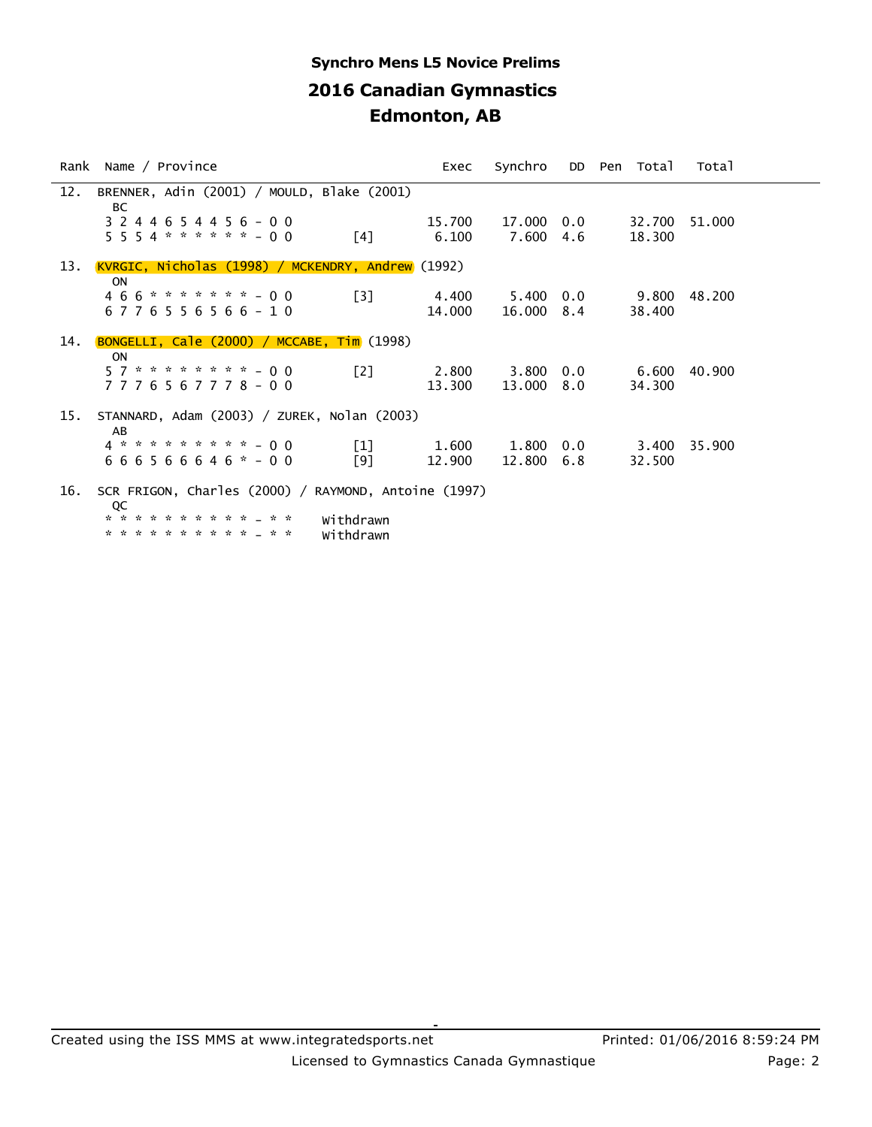# **2016 Canadian Gymnastics Edmonton, AB Synchro Mens L5 Novice Prelims**

|     | Rank Name / Province                                                                                                                           | Exec            | Synchro         |            | DD Pen Total     | Total  |  |
|-----|------------------------------------------------------------------------------------------------------------------------------------------------|-----------------|-----------------|------------|------------------|--------|--|
| 12. | BRENNER, Adin (2001) / MOULD, Blake (2001)<br>ВC                                                                                               |                 |                 |            |                  |        |  |
|     | 3 2 4 4 6 5 4 4 5 6 - 0 0<br>$5554******-00$<br>$\lceil 4 \rceil$                                                                              | 15.700<br>6.100 | 17.000<br>7.600 | 0.0<br>4.6 | 32.700<br>18,300 | 51,000 |  |
| 13. | <u>KVRGIC, Nicholas (1998) / MCKENDRY, Andrew</u> (1992)                                                                                       |                 |                 |            |                  |        |  |
|     | <b>ON</b><br>$466$ ******* - 00<br>[3]<br>6776556566-10                                                                                        | 4.400<br>14.000 | 5.400<br>16.000 | 0.0<br>8.4 | 9.800<br>38.400  | 48.200 |  |
| 14. | BONGELLI, Cale (2000) / MCCABE, Tim (1998)                                                                                                     |                 |                 |            |                  |        |  |
|     | <b>ON</b><br>$57 * * * * * * * * - 00$<br>[2]<br>7776567778-00                                                                                 | 2.800<br>13.300 | 3.800<br>13.000 | 0.0<br>8.0 | 6.600<br>34.300  | 40.900 |  |
| 15. | STANNARD, Adam (2003) / ZUREK, Nolan (2003)<br>AB                                                                                              |                 |                 |            |                  |        |  |
|     | 4 * * * * * * * * * - 0 0<br>$\lceil 1 \rceil$<br>$666566646* - 00$<br>[9]                                                                     | 1.600<br>12.900 | 1.800<br>12,800 | 0.0<br>6.8 | 3.400<br>32.500  | 35,900 |  |
| 16. | SCR FRIGON, Charles (2000) / RAYMOND, Antoine (1997)<br>QC<br>* * * * * * * * * * * * *<br>Withdrawn<br>* * * * * * * * * * * * *<br>Withdrawn |                 |                 |            |                  |        |  |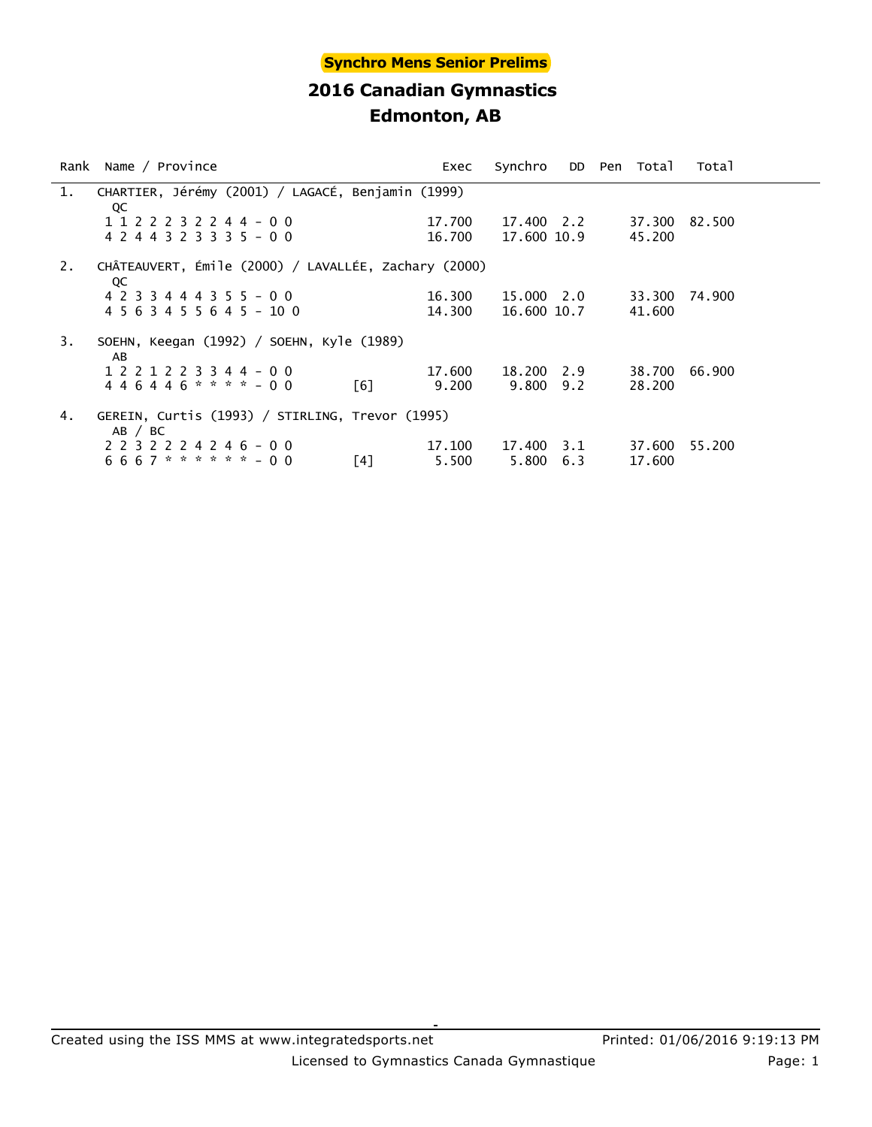|    | Rank Name / Province                                       |            | Exec   | Synchro     |     | DD Pen Total | Total  |
|----|------------------------------------------------------------|------------|--------|-------------|-----|--------------|--------|
| 1. | CHARTIER, Jérémy (2001) / LAGACÉ, Benjamin (1999)<br>QC    |            |        |             |     |              |        |
|    | 1 1 2 2 2 3 2 2 4 4 - 0 0                                  |            | 17.700 | 17.400 2.2  |     | 37.300       | 82.500 |
|    | 4 2 4 4 3 2 3 3 3 5 - 0 0                                  |            | 16.700 | 17,600 10.9 |     | 45,200       |        |
| 2. | CHÂTEAUVERT, Émile (2000) / LAVALLÉE, Zachary (2000)<br>QC |            |        |             |     |              |        |
|    | 4 2 3 3 4 4 4 3 5 5 - 0 0                                  |            | 16.300 | 15.000 2.0  |     | 33.300       | 74.900 |
|    | 4 5 6 3 4 5 5 6 4 5 - 10 0                                 |            | 14.300 | 16,600 10.7 |     | 41.600       |        |
| 3. | SOEHN, Keegan (1992) / SOEHN, Kyle (1989)<br>AB            |            |        |             |     |              |        |
|    | 1 2 2 1 2 2 3 3 4 4 - 0 0                                  |            | 17.600 | 18.200      | 2.9 | 38.700       | 66.900 |
|    | $446446$ * * * * - 00                                      | <u>Г61</u> | 9.200  | 9.800       | 9.2 | 28,200       |        |
| 4. | GEREIN, Curtis (1993) / STIRLING, Trevor (1995)<br>AB / BC |            |        |             |     |              |        |
|    | 2 2 3 2 2 2 4 2 4 6 - 0 0                                  |            | 17.100 | 17.400      | 3.1 | 37,600       | 55,200 |
|    | $6667$ * * * * * * - 00                                    | [4]        | 5.500  | 5.800       | 6.3 | 17.600       |        |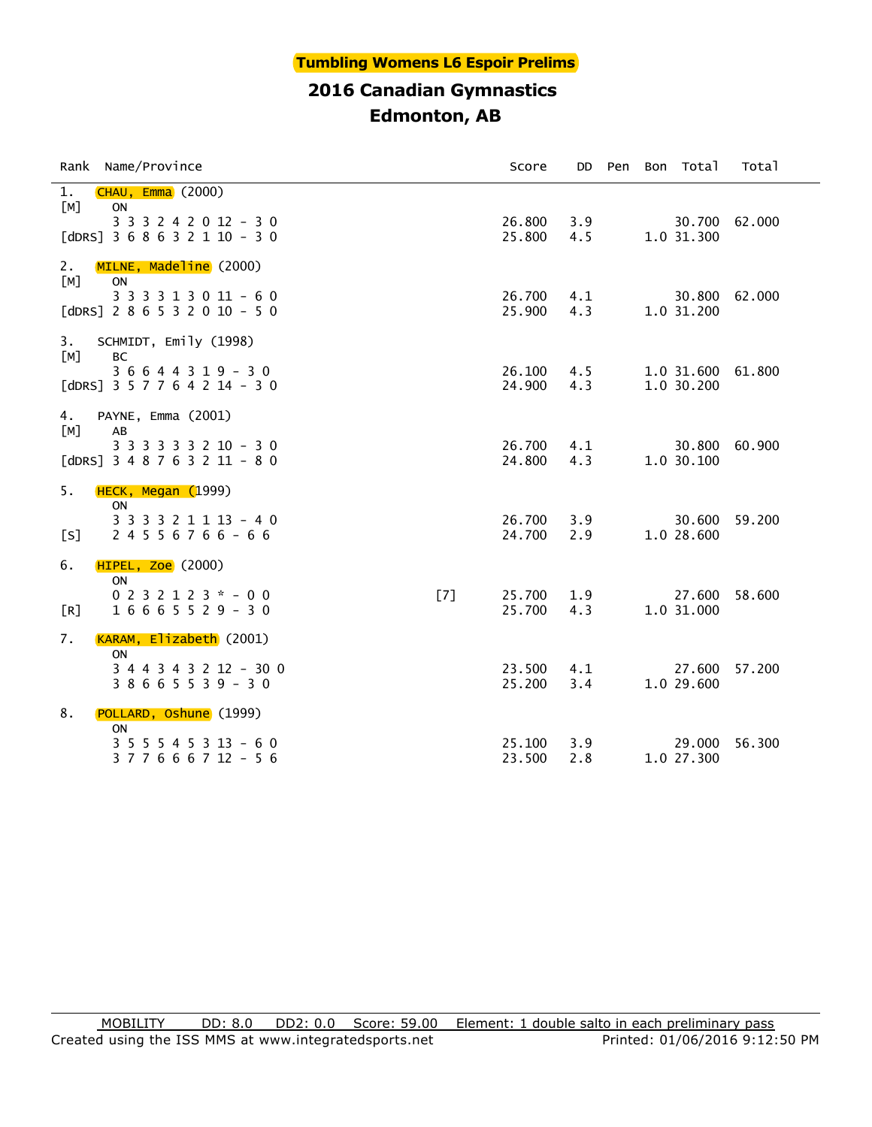#### **Tumbling Womens L6 Espoir Prelims**

## **2016 Canadian Gymnastics Edmonton, AB**

| Rank Name/Province                                                                                       | Score                   | DD                | Pen | Bon Total                       | Total         |
|----------------------------------------------------------------------------------------------------------|-------------------------|-------------------|-----|---------------------------------|---------------|
| 1.<br><b>CHAU, Emma</b> (2000)<br>[M]<br>ON<br>3 3 3 2 4 2 0 12 - 3 0<br>[dDRS] $3 6 8 6 3 2 1 10 - 3 0$ | 25.800                  | 26.800 3.9<br>4.5 |     | 1.0 31.300                      | 30.700 62.000 |
| MILNE, Madeline (2000)<br>2.<br>ON<br>[M]<br>3 3 3 3 1 3 0 11 - 6 0<br>[dDRS] $2 8 6 5 3 2 0 10 - 5 0$   | 26.700<br>25.900        | 4.1<br>4.3        |     | 1.0 31.200                      | 30.800 62.000 |
| 3.<br>SCHMIDT, Emily (1998)<br>[M]<br><b>BC</b><br>$36644319 - 30$<br>[dDRS] 3 5 7 7 6 4 2 14 - 3 0      | 26.100<br>24.900        | 4.5<br>4.3        |     | 1.0 31.600 61.800<br>1.0 30.200 |               |
| PAYNE, Emma (2001)<br>4.<br>[M]<br>AB<br>3 3 3 3 3 3 2 10 - 3 0<br>[dDRS] $3 4 8 7 6 3 2 11 - 8 0$       | 26.700<br>24.800        | 4.1<br>4.3        |     | 1.0 30.100                      | 30.800 60.900 |
| 5.<br>HECK, Megan (1999)<br>ON<br>3 3 3 3 2 1 1 1 3 - 4 0<br>[s]<br>$24556766 - 66$                      | 26.700<br>24.700        | 3.9<br>2.9        |     | 1.0 28.600                      | 30.600 59.200 |
| 6.<br><b>HIPEL, Zoe</b> (2000)<br><b>ON</b><br>$0 2 3 2 1 2 3 * - 0 0$<br>$16665529 - 30$<br>[R]         | [7]<br>25.700<br>25.700 | 1.9<br>4.3        |     | 27.600<br>1.0 31.000            | 58.600        |
| KARAM, Elizabeth (2001)<br>7.<br><b>ON</b><br>3 4 4 3 4 3 2 12 - 30 0<br>$38665539 - 30$                 | 23.500<br>25.200        | 4.1<br>3.4        |     | 27.600<br>1.0 29.600            | 57,200        |
| 8.<br>POLLARD, Oshune (1999)<br>ON<br>$3 5 5 5 4 5 3 13 - 6 0$<br>3 7 7 6 6 6 7 12 - 5 6                 | 25.100<br>23.500        | 3.9<br>2.8        |     | 29.000<br>1.0 27.300            | 56.300        |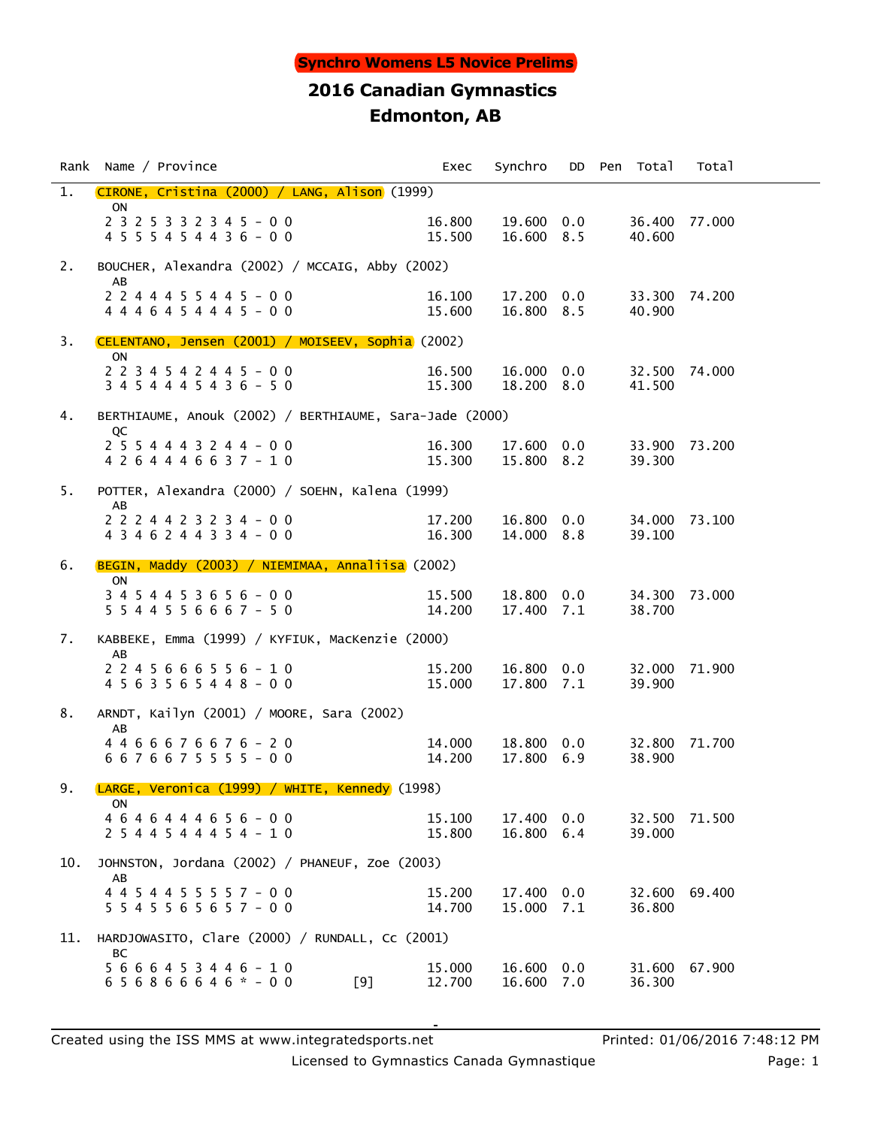|     | Rank Name / Province                                                | Exec             | Synchro                  |     | DD Pen Total     | Total         |
|-----|---------------------------------------------------------------------|------------------|--------------------------|-----|------------------|---------------|
| 1.  | CIRONE, Cristina (2000) / LANG, Alison (1999)                       |                  |                          |     |                  |               |
|     | <b>ON</b><br>2 3 2 5 3 3 2 3 4 5 - 0 0<br>4 5 5 5 4 5 4 4 3 6 - 0 0 | 16.800<br>15.500 | 19.600 0.0<br>16.600 8.5 |     | 40.600           | 36.400 77.000 |
| 2.  | BOUCHER, Alexandra (2002) / MCCAIG, Abby (2002)                     |                  |                          |     |                  |               |
|     | AB<br>2 2 4 4 4 5 5 4 4 5 - 0 0<br>$4446454445 - 00$                | 16.100<br>15.600 | 17.200 0.0<br>16.800 8.5 |     | 40.900           | 33.300 74.200 |
| 3.  | CELENTANO, Jensen (2001) / MOISEEV, Sophia (2002)                   |                  |                          |     |                  |               |
|     | <b>ON</b><br>2 2 3 4 5 4 2 4 4 5 - 0 0<br>$3454445436 - 50$         | 16.500<br>15.300 | 16.000 0.0<br>18.200 8.0 |     | 41.500           | 32.500 74.000 |
| 4.  | BERTHIAUME, Anouk (2002) / BERTHIAUME, Sara-Jade (2000)             |                  |                          |     |                  |               |
|     | QC<br>$2554443244 - 00$<br>4 2 6 4 4 4 6 6 3 7 - 1 0                | 16.300<br>15.300 | 17.600 0.0<br>15.800 8.2 |     | 39.300           | 33.900 73.200 |
| 5.  | POTTER, Alexandra (2000) / SOEHN, Kalena (1999)                     |                  |                          |     |                  |               |
|     | AB<br>2 2 2 4 4 2 3 2 3 4 - 0 0<br>4 3 4 6 2 4 4 3 3 4 - 0 0        | 17.200<br>16.300 | 16.800 0.0<br>14.000 8.8 |     | 39.100           | 34.000 73.100 |
| 6.  | BEGIN, Maddy (2003) / NIEMIMAA, Annaliisa (2002)                    |                  |                          |     |                  |               |
|     | ON<br>3 4 5 4 4 5 3 6 5 6 - 0 0<br>$5544556667 - 50$                | 15.500<br>14.200 | 18.800 0.0<br>17.400 7.1 |     | 38.700           | 34.300 73.000 |
| 7.  | KABBEKE, Emma (1999) / KYFIUK, MacKenzie (2000)                     |                  |                          |     |                  |               |
|     | AB<br>$2245666556 - 10$<br>4 5 6 3 5 6 5 4 4 8 - 0 0                | 15.200<br>15.000 | 16.800 0.0<br>17.800 7.1 |     | 39.900           | 32.000 71.900 |
| 8.  | ARNDT, Kailyn (2001) / MOORE, Sara (2002)                           |                  |                          |     |                  |               |
|     | AB<br>4 4 6 6 6 7 6 6 7 6 - 2 0<br>6 6 7 6 6 7 5 5 5 5 - 0 0        | 14.000<br>14.200 | 18.800 0.0<br>17.800 6.9 |     | 38.900           | 32.800 71.700 |
| 9.  | LARGE, Veronica (1999) / WHITE, Kennedy (1998)                      |                  |                          |     |                  |               |
|     | ON<br>4 6 4 6 4 4 4 6 5 6 - 0 0<br>2 5 4 4 5 4 4 4 5 4 - 1 0        | 15.100<br>15.800 | 17.400 0.0<br>16.800 6.4 |     | 32.500<br>39,000 | 71.500        |
| 10. | JOHNSTON, Jordana (2002) / PHANEUF, Zoe (2003)                      |                  |                          |     |                  |               |
|     | AB<br>4 4 5 4 4 5 5 5 5 7 - 0 0<br>$5545565657 - 00$                | 15.200<br>14.700 | 17.400<br>15.000 7.1     | 0.0 | 32.600<br>36.800 | 69.400        |
| 11. | HARDJOWASITO, Clare (2000) / RUNDALL, Cc (2001)                     |                  |                          |     |                  |               |
|     | BС<br>$5666453446 - 10$<br>$656866646* - 00$<br>[9]                 | 15.000<br>12.700 | 16.600 0.0<br>16.600 7.0 |     | 36.300           | 31.600 67.900 |

Created using the ISS MMS at www.integratedsports.net Printed: 01/06/2016 7:48:12 PM

Licensed to Gymnastics Canada Gymnastique **Page: 1** Page: 1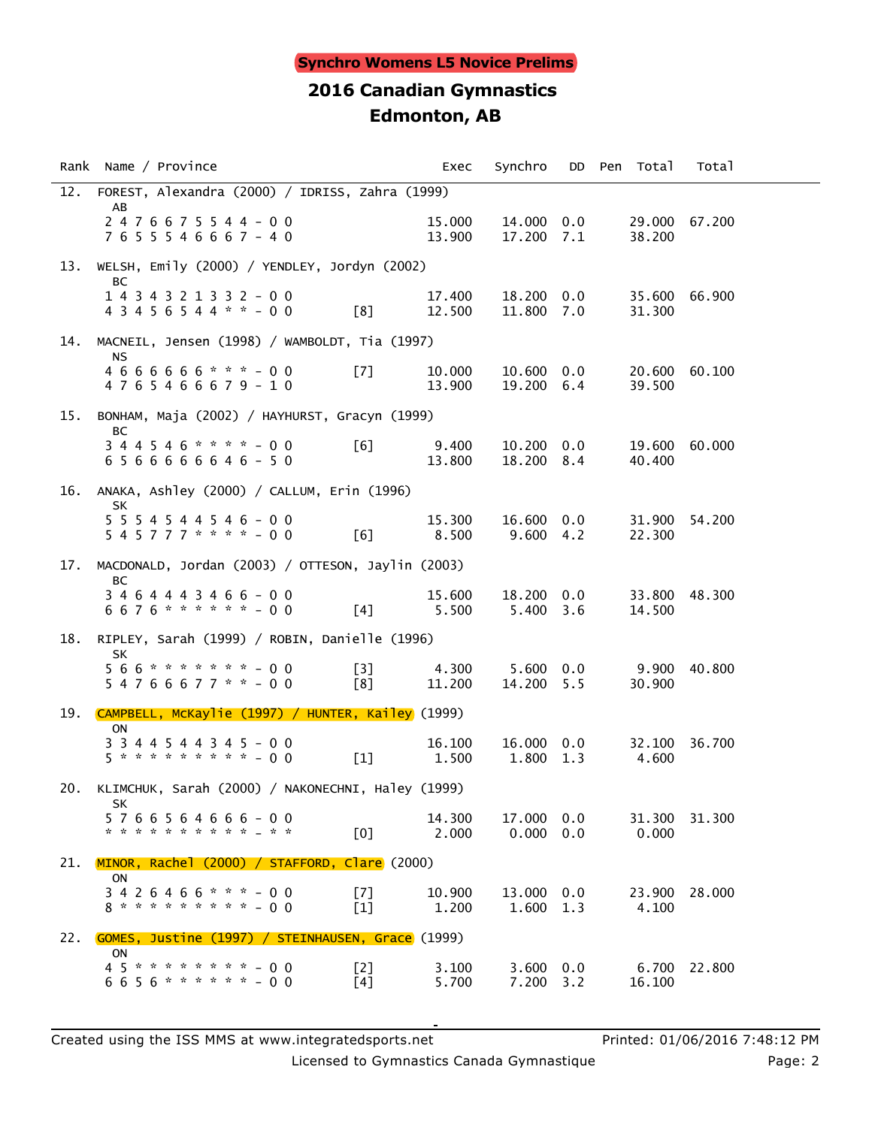|     | Rank Name / Province                                                           | Exec             | Synchro                         |            | DD Pen Total     | Total        |  |
|-----|--------------------------------------------------------------------------------|------------------|---------------------------------|------------|------------------|--------------|--|
| 12. | FOREST, Alexandra (2000) / IDRISS, Zahra (1999)<br>AB                          |                  |                                 |            |                  |              |  |
|     | $2476675544 - 00$<br>7 6 5 5 5 4 6 6 6 7 - 4 0                                 | 15.000<br>13.900 | 14.000 0.0<br>17.200 7.1        |            | 29.000<br>38.200 | 67.200       |  |
| 13. | WELSH, Emily (2000) / YENDLEY, Jordyn (2002)                                   |                  |                                 |            |                  |              |  |
|     | ВC<br>1 4 3 4 3 2 1 3 3 2 - 0 0<br>$43456544** -00$<br>[8]                     | 17.400<br>12.500 | 18.200 0.0<br>11.800 7.0        |            | 35.600<br>31.300 | 66.900       |  |
| 14. | MACNEIL, Jensen (1998) / WAMBOLDT, Tia (1997)                                  |                  |                                 |            |                  |              |  |
|     | <b>NS</b><br>4 6 6 6 6 6 6 * * * - 0 0<br>$\sqrt{7}$<br>4765466679-10          | 10.000<br>13.900 | 10.600 0.0<br>19.200 6.4        |            | 20.600<br>39.500 | 60.100       |  |
| 15. | BONHAM, Maja (2002) / HAYHURST, Gracyn (1999)                                  |                  |                                 |            |                  |              |  |
|     | BС<br>$344546$ * * * * - 00<br>[6]<br>6 5 6 6 6 6 6 6 4 6 - 5 0                | 9.400<br>13.800  | 10.200 0.0<br>18.200 8.4        |            | 19.600<br>40.400 | 60,000       |  |
| 16. | ANAKA, Ashley (2000) / CALLUM, Erin (1996)                                     |                  |                                 |            |                  |              |  |
|     | SK<br>$5\ 5\ 5\ 4\ 5\ 4\ 4\ 5\ 4\ 6\ -\ 0\ 0$<br>$545777***$ $-00$<br>[6]      | 15.300<br>8.500  | 16.600 0.0<br>$9.600 \quad 4.2$ |            | 31.900<br>22.300 | 54.200       |  |
| 17. | MACDONALD, Jordan (2003) / OTTESON, Jaylin (2003)                              |                  |                                 |            |                  |              |  |
|     | BC<br>$3464443466 - 00$<br>6676 * * * * * * - 00<br>[4]                        | 15.600<br>5.500  | 18.200 0.0<br>5.400 3.6         |            | 33.800<br>14.500 | 48.300       |  |
| 18. | RIPLEY, Sarah (1999) / ROBIN, Danielle (1996)                                  |                  |                                 |            |                  |              |  |
|     | <b>SK</b><br>566********-00<br>[3]<br>$54766677$ * * - 00<br>[8]               | 4.300<br>11.200  | $5.600 \quad 0.0$<br>14.200 5.5 |            | 9.900<br>30.900  | 40.800       |  |
|     | 19. CAMPBELL, MCKaylie (1997) / HUNTER, Kailey (1999)                          |                  |                                 |            |                  |              |  |
|     | ON<br>3 3 4 4 5 4 4 3 4 5 - 0 0<br>5 * * * * * * * * * - 0 0<br>$[1]$          | 16.100<br>1.500  | 16.000 0.0<br>1.800 1.3         |            | 32.100<br>4.600  | 36.700       |  |
| 20. | KLIMCHUK, Sarah (2000) / NAKONECHNI, Haley (1999)                              |                  |                                 |            |                  |              |  |
|     | SK<br>5766564666-00<br>* * * * * * * * * * * * *<br>[0]                        | 14.300<br>2.000  | 17.000<br>0.000                 | 0.0<br>0.0 | 31.300<br>0.000  | 31.300       |  |
| 21. | $MINOR$ , Rachel (2000) / STAFFORD, Clare (2000)                               |                  |                                 |            |                  |              |  |
|     | <b>ON</b><br>$3426466$ * * * - 00<br>[7]<br>8 * * * * * * * * * - 0 0<br>$[1]$ | 10.900<br>1.200  | 13.000 0.0<br>1.600             | 1.3        | 23.900<br>4.100  | 28,000       |  |
| 22. | GOMES, Justine (1997) / STEINHAUSEN, Grace (1999)                              |                  |                                 |            |                  |              |  |
|     | <b>ON</b><br>45********-00<br>[2]<br>$6656******00$<br>[4]                     | 3.100<br>5.700   | $3.600 \quad 0.0$<br>7.200 3.2  |            | 16.100           | 6.700 22.800 |  |

Licensed to Gymnastics Canada Gymnastique **Page: 2** Page: 2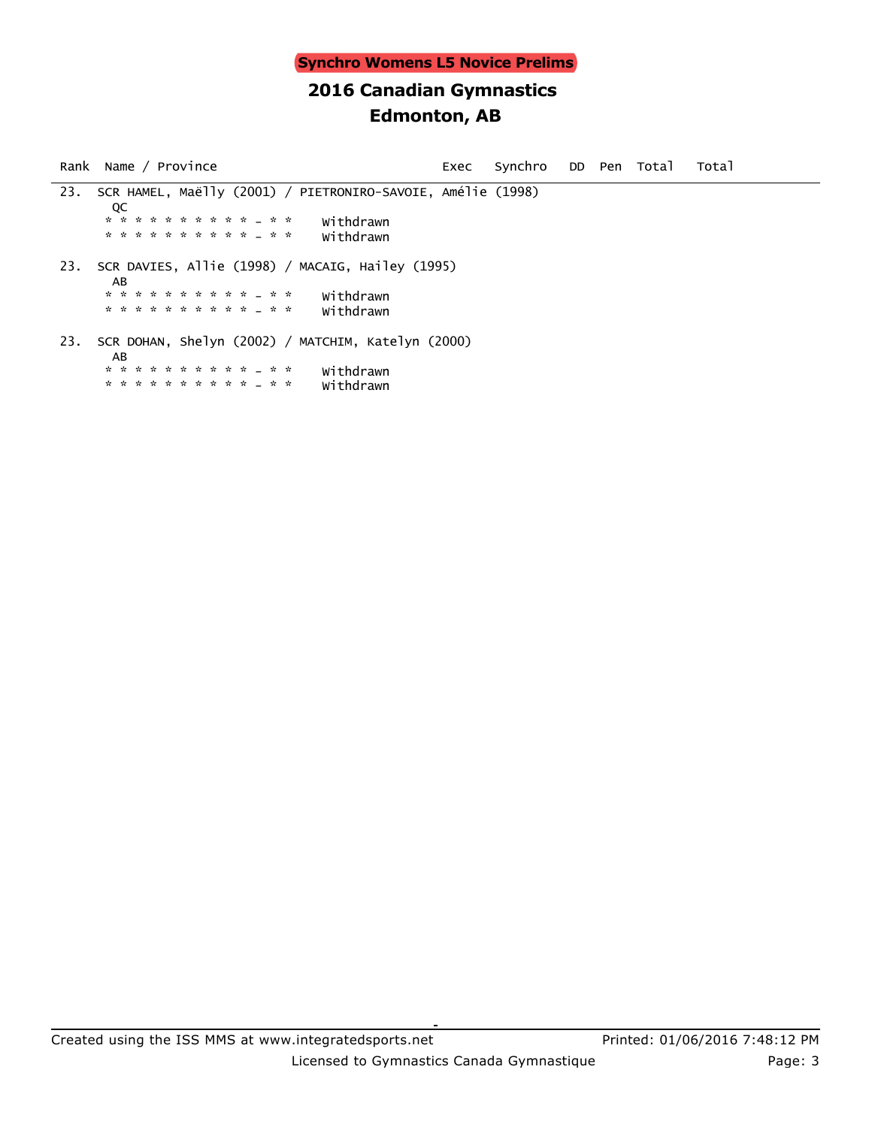Rank Name / Province exects of Exec Synchro DD Pen Total Total 23. SCR HAMEL, Maëlly (2001) / PIETRONIRO-SAVOIE, Amélie (1998) **DECISION**  \* \* \* \* \* \* \* \* \* \* - \* \* Withdrawn \* \* \* \* \* \* \* \* \* \* - \* \* Withdrawn 23. SCR DAVIES, Allie (1998) / MACAIG, Hailey (1995) AB \* \* \* \* \* \* \* \* \* \* - \* \* Withdrawn \* \* \* \* \* \* \* \* \* \* - \* \* Withdrawn 23. SCR DOHAN, Shelyn (2002) / MATCHIM, Katelyn (2000) AB \* \* \* \* \* \* \* \* \* \* \* \* \* \* withdrawn<br>\* \* \* \* \* \* \* \* \* \* \* \* \* \* withdrawn \* \* \* \* \* \* \* \* \* \* - \* \* Withdrawn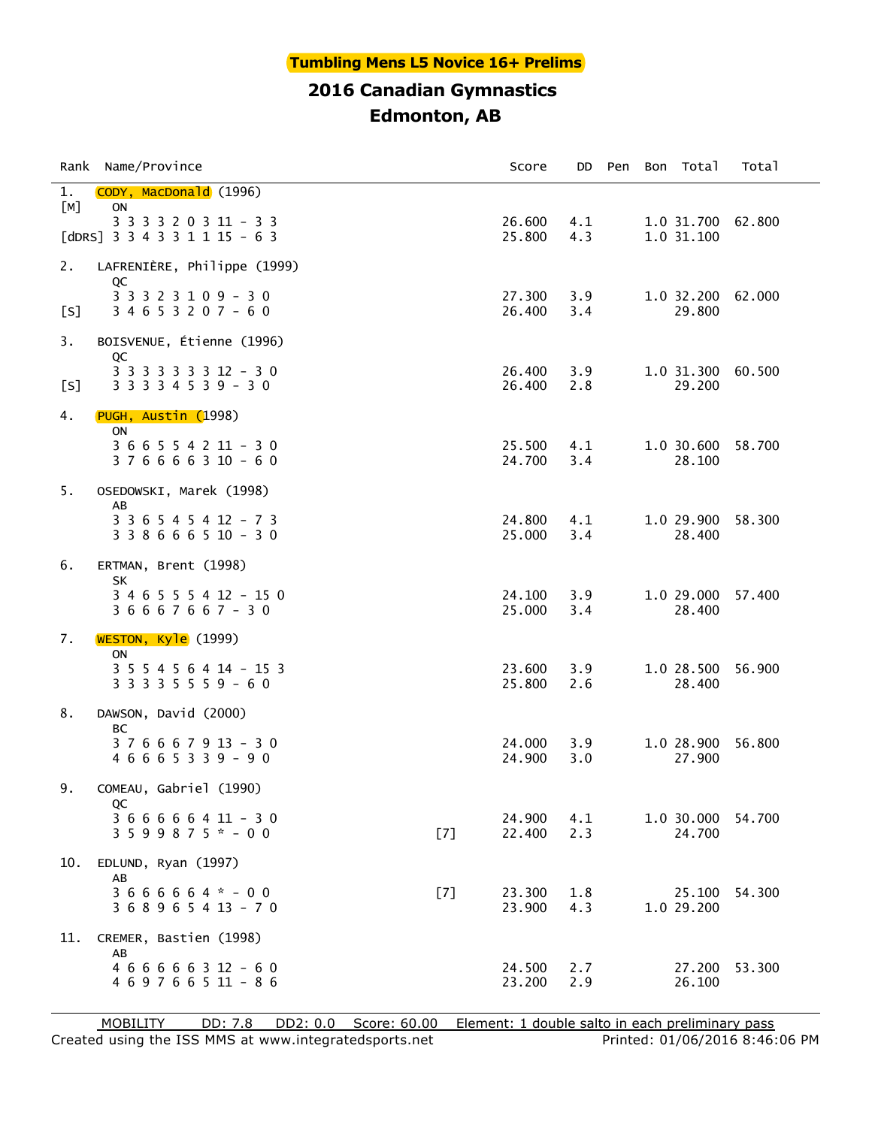#### **Tumbling Mens L5 Novice 16+ Prelims**

## **2016 Canadian Gymnastics Edmonton, AB**

| Rank      | Name/Province                                                                          |     | Score            | DD.        | Pen | Bon Total                       | Total  |
|-----------|----------------------------------------------------------------------------------------|-----|------------------|------------|-----|---------------------------------|--------|
| 1.<br>[M] | CODY, MacDonald (1996)<br><b>ON</b>                                                    |     |                  |            |     |                                 |        |
|           | 3 3 3 3 2 0 3 11 - 3 3<br>[dDRS] $3 \times 3 \times 3 \times 1 \times 15 - 6 \times 3$ |     | 26.600<br>25.800 | 4.1<br>4.3 |     | 1.0 31.700 62.800<br>1.0 31.100 |        |
| 2.        | LAFRENIÈRE, Philippe (1999)                                                            |     |                  |            |     |                                 |        |
| [S]       | QC<br>3 3 3 2 3 1 0 9 - 3 0<br>$34653207 - 60$                                         |     | 27.300<br>26.400 | 3.9<br>3.4 |     | 1.0 32.200<br>29.800            | 62.000 |
| 3.        | BOISVENUE, Étienne (1996)<br>QC                                                        |     |                  |            |     |                                 |        |
| [S]       | 3 3 3 3 3 3 3 12 - 3 0<br>$33334539 - 30$                                              |     | 26.400<br>26.400 | 3.9<br>2.8 |     | 1.0 31.300 60.500<br>29.200     |        |
| 4.        | PUGH, Austin (1998)<br>ON                                                              |     |                  |            |     |                                 |        |
|           | $366554211 - 30$<br>$376666310 - 60$                                                   |     | 25.500<br>24.700 | 4.1<br>3.4 |     | 1.0 30.600<br>28.100            | 58.700 |
| 5.        | OSEDOWSKI, Marek (1998)                                                                |     |                  |            |     |                                 |        |
|           | AB<br>3 3 6 5 4 5 4 12 - 7 3<br>$338666510 - 30$                                       |     | 24.800<br>25.000 | 4.1<br>3.4 |     | 1.0 29.900<br>28.400            | 58.300 |
| 6.        | ERTMAN, Brent (1998)<br><b>SK</b>                                                      |     |                  |            |     |                                 |        |
|           | 3 4 6 5 5 5 4 12 - 15 0<br>$36667667 - 30$                                             |     | 24.100<br>25.000 | 3.9<br>3.4 |     | 1.0 29.000<br>28.400            | 57.400 |
| 7.        | WESTON, Kyle (1999)<br>ON                                                              |     |                  |            |     |                                 |        |
|           | 3 5 5 4 5 6 4 14 - 15 3<br>3 3 3 3 5 5 5 9 - 6 0                                       |     | 23.600<br>25.800 | 3.9<br>2.6 |     | 1.0 28.500<br>28.400            | 56.900 |
| 8.        | DAWSON, David (2000)<br>BС                                                             |     |                  |            |     |                                 |        |
|           | $376667913 - 30$<br>$46665339 - 90$                                                    |     | 24.000<br>24.900 | 3.9<br>3.0 |     | 1.0 28.900<br>27.900            | 56.800 |
| 9.        | COMEAU, Gabriel (1990)                                                                 |     |                  |            |     |                                 |        |
|           | QC<br>$366666411 - 30$<br>$3599875* - 00$                                              | [7] | 24,900<br>22.400 | 4.1<br>2.3 |     | 1.0 30.000<br>24.700            | 54.700 |
| 10.       | EDLUND, Ryan (1997)<br>AB                                                              |     |                  |            |     |                                 |        |
|           | $3666664* - 00$<br>3 6 8 9 6 5 4 13 - 7 0                                              | [7] | 23.300<br>23.900 | 1.8<br>4.3 |     | 25.100<br>1.0 29.200            | 54.300 |
| 11.       | CREMER, Bastien (1998)<br>AB                                                           |     |                  |            |     |                                 |        |
|           | $466666312 - 60$<br>4 6 9 7 6 6 5 11 - 8 6                                             |     | 24.500<br>23.200 | 2.7<br>2.9 |     | 27.200<br>26.100                | 53.300 |

Created using the ISS MMS at www.integratedsports.net Printed: 01/06/2016 8:46:06 PM MOBILITY DD: 7.8 DD2: 0.0 Score: 60.00 Element: 1 double salto in each preliminary pass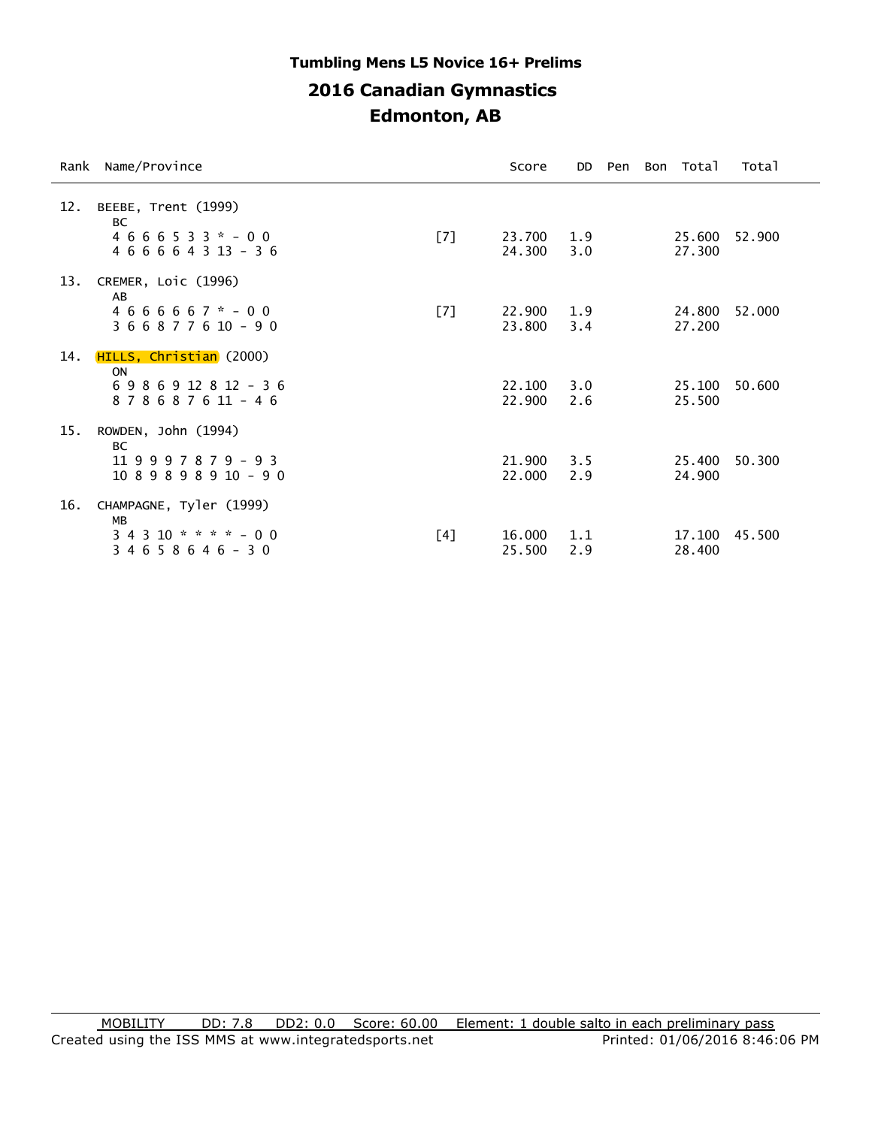## **2016 Canadian Gymnastics Edmonton, AB Tumbling Mens L5 Novice 16+ Prelims**

| Rank | Name/Province                                                                          |     | Score            | DD.        | Pen | Bon Total        | Total  |
|------|----------------------------------------------------------------------------------------|-----|------------------|------------|-----|------------------|--------|
| 12.  | BEEBE, Trent (1999)<br><b>BC</b><br>$4666533* - 00$<br>$466664313 - 36$                | [7] | 23.700<br>24.300 | 1.9<br>3.0 |     | 25.600<br>27,300 | 52.900 |
| 13.  | CREMER, Loic (1996)<br>AB<br>$4666667$ * - 00<br>$366877610 - 90$                      | [7] | 22,900<br>23,800 | 1.9<br>3.4 |     | 24,800<br>27,200 | 52.000 |
| 14.  | <b>HILLS, Christian</b> (2000)<br><b>ON</b><br>6 9 8 6 9 12 8 12 - 3 6<br>878687611-46 |     | 22,100<br>22.900 | 3.0<br>2.6 |     | 25,100<br>25.500 | 50.600 |
| 15.  | ROWDEN, John (1994)<br>BC<br>$119997879 - 93$<br>$1089898910 - 90$                     |     | 21,900<br>22.000 | 3.5<br>2.9 |     | 25,400<br>24,900 | 50.300 |
| 16.  | CHAMPAGNE, Tyler (1999)<br>МB<br>$34310 * * * * - 00$<br>3 4 6 5 8 6 4 6 - 3 0         | [4] | 16.000<br>25,500 | 1.1<br>2.9 |     | 17.100<br>28,400 | 45.500 |